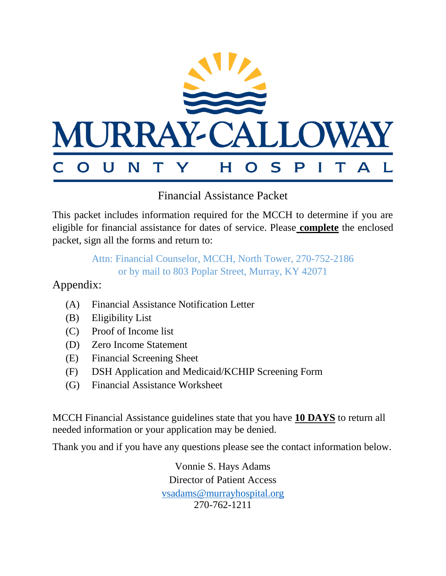

Financial Assistance Packet

This packet includes information required for the MCCH to determine if you are eligible for financial assistance for dates of service. Please **complete** the enclosed packet, sign all the forms and return to:

> Attn: Financial Counselor, MCCH, North Tower, 270-752-2186 or by mail to 803 Poplar Street, Murray, KY 42071

Appendix:

- (A) Financial Assistance Notification Letter
- (B) Eligibility List
- (C) Proof of Income list
- (D) Zero Income Statement
- (E) Financial Screening Sheet
- (F) DSH Application and Medicaid/KCHIP Screening Form
- (G) Financial Assistance Worksheet

MCCH Financial Assistance guidelines state that you have **10 DAYS** to return all needed information or your application may be denied.

Thank you and if you have any questions please see the contact information below.

Vonnie S. Hays Adams Director of Patient Access [vsadams@murrayhospital.org](mailto:vsadams@murrayhospital.org) 270-762-1211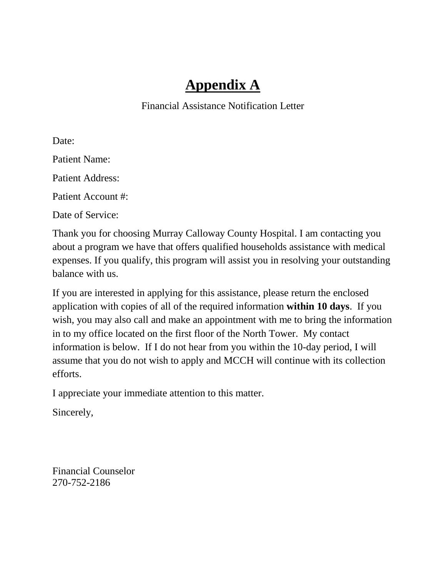## **Appendix A**

Financial Assistance Notification Letter

Date: Patient Name: Patient Address: Patient Account #: Date of Service:

Thank you for choosing Murray Calloway County Hospital. I am contacting you about a program we have that offers qualified households assistance with medical expenses. If you qualify, this program will assist you in resolving your outstanding balance with us.

If you are interested in applying for this assistance, please return the enclosed application with copies of all of the required information **within 10 days**. If you wish, you may also call and make an appointment with me to bring the information in to my office located on the first floor of the North Tower. My contact information is below. If I do not hear from you within the 10-day period, I will assume that you do not wish to apply and MCCH will continue with its collection efforts.

I appreciate your immediate attention to this matter.

Sincerely,

Financial Counselor 270-752-2186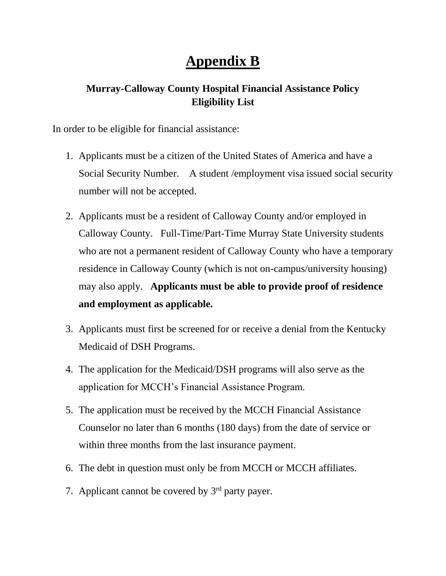## **Appendix B**

## **Murray-Calloway County Hospital Financial Assistance Policy Eligibility List**

In order to be eligible for financial assistance:

- 1. Applicants must be a citizen of the United States of America and have a Social Security Number. A student /employment visa issued social security number will not be accepted.
- 2. Applicants must be a resident of Calloway County and/or employed in Calloway County. Full-Time/Part-Time Murray State University students who are not a permanent resident of Calloway County who have a temporary residence in Calloway County (which is not on-campus/university housing) may also apply. **Applicants must be able to provide proof of residence and employment as applicable.**
- 3. Applicants must first be screened for or receive a denial from the Kentucky Medicaid of DSH Programs.
- 4. The application for the Medicaid/DSH programs will also serve as the application for MCCH's Financial Assistance Program.
- 5. The application must be received by the MCCH Financial Assistance Counselor no later than 6 months (180 days) from the date of service or within three months from the last insurance payment.
- 6. The debt in question must only be from MCCH or MCCH affiliates.
- 7. Applicant cannot be covered by 3<sup>rd</sup> party payer.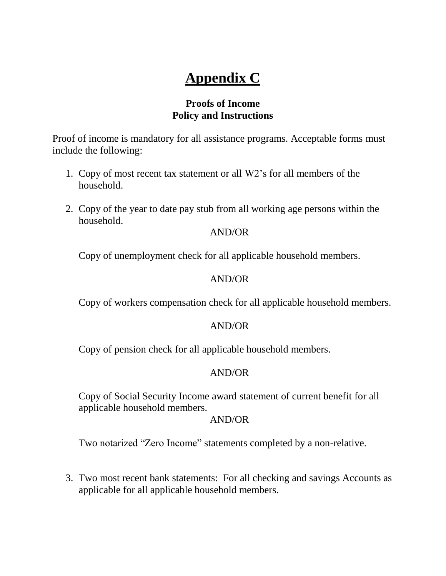# **Appendix C**

## **Proofs of Income Policy and Instructions**

Proof of income is mandatory for all assistance programs. Acceptable forms must include the following:

- 1. Copy of most recent tax statement or all W2's for all members of the household.
- 2. Copy of the year to date pay stub from all working age persons within the household.

### AND/OR

Copy of unemployment check for all applicable household members.

### AND/OR

Copy of workers compensation check for all applicable household members.

### AND/OR

Copy of pension check for all applicable household members.

### AND/OR

Copy of Social Security Income award statement of current benefit for all applicable household members.

#### AND/OR

Two notarized "Zero Income" statements completed by a non-relative.

3. Two most recent bank statements: For all checking and savings Accounts as applicable for all applicable household members.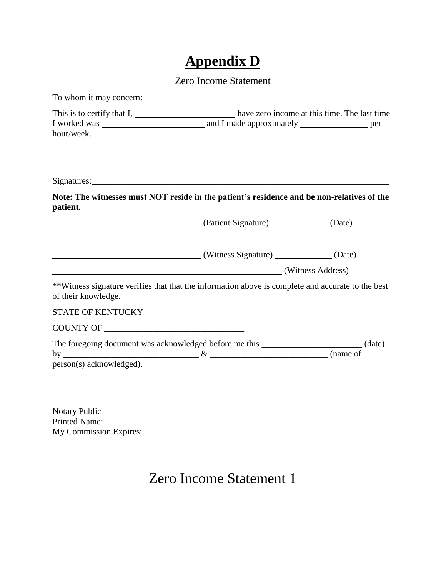# **Appendix D**

### Zero Income Statement

| To whom it may concern:                                                                                                  |                                              |  |  |
|--------------------------------------------------------------------------------------------------------------------------|----------------------------------------------|--|--|
| This is to certify that $I$ , $\overline{\phantom{a}}$<br>hour/week.                                                     | have zero income at this time. The last time |  |  |
|                                                                                                                          |                                              |  |  |
| Note: The witnesses must NOT reside in the patient's residence and be non-relatives of the<br>patient.                   |                                              |  |  |
|                                                                                                                          |                                              |  |  |
| (Witness Signature) (Date)                                                                                               |                                              |  |  |
|                                                                                                                          | (Witness Address)                            |  |  |
| **Witness signature verifies that that the information above is complete and accurate to the best<br>of their knowledge. |                                              |  |  |
| <b>STATE OF KENTUCKY</b>                                                                                                 |                                              |  |  |
|                                                                                                                          |                                              |  |  |
| The foregoing document was acknowledged before me this ________________________(date)<br>person(s) acknowledged).        |                                              |  |  |
| Notary Public                                                                                                            |                                              |  |  |

## Zero Income Statement 1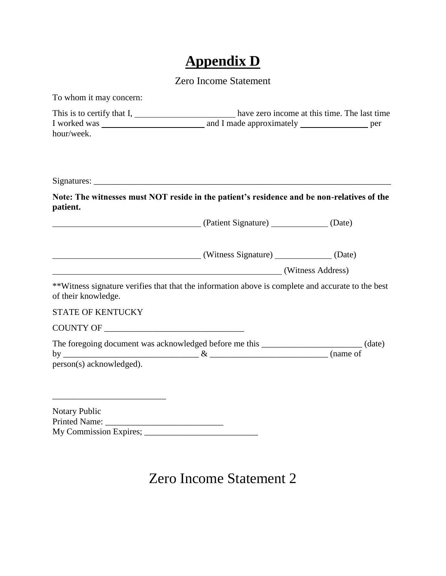# **Appendix D**

### Zero Income Statement

| To whom it may concern:                                                                                                  |                   |  |
|--------------------------------------------------------------------------------------------------------------------------|-------------------|--|
| This is to certify that I, have zero income at this time. The last time<br>hour/week.                                    |                   |  |
|                                                                                                                          |                   |  |
| Note: The witnesses must NOT reside in the patient's residence and be non-relatives of the<br>patient.                   |                   |  |
| (Date) (Patient Signature) (Date)                                                                                        |                   |  |
| (Vitness Signature) (Date)                                                                                               |                   |  |
|                                                                                                                          | (Witness Address) |  |
| **Witness signature verifies that that the information above is complete and accurate to the best<br>of their knowledge. |                   |  |
| <b>STATE OF KENTUCKY</b>                                                                                                 |                   |  |
|                                                                                                                          |                   |  |
| The foregoing document was acknowledged before me this ________________________(date)<br>person(s) acknowledged).        |                   |  |
| <b>Notary Public</b>                                                                                                     |                   |  |

## Zero Income Statement 2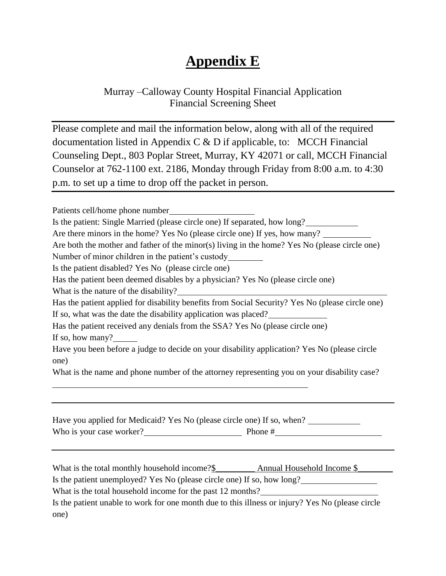## **Appendix E**

## Murray –Calloway County Hospital Financial Application Financial Screening Sheet

Please complete and mail the information below, along with all of the required documentation listed in Appendix C  $\&$  D if applicable, to: MCCH Financial Counseling Dept., 803 Poplar Street, Murray, KY 42071 or call, MCCH Financial Counselor at 762-1100 ext. 2186, Monday through Friday from 8:00 a.m. to 4:30 p.m. to set up a time to drop off the packet in person.

Patients cell/home phone number Is the patient: Single Married (please circle one) If separated, how long? . Are there minors in the home? Yes No (please circle one) If yes, how many? Are both the mother and father of the minor(s) living in the home? Yes No (please circle one) Number of minor children in the patient's custody . Is the patient disabled? Yes No (please circle one) Has the patient been deemed disables by a physician? Yes No (please circle one) What is the nature of the disability? Has the patient applied for disability benefits from Social Security? Yes No (please circle one) If so, what was the date the disability application was placed? Has the patient received any denials from the SSA? Yes No (please circle one) If so, how many? Have you been before a judge to decide on your disability application? Yes No (please circle one) What is the name and phone number of the attorney representing you on your disability case? . Have you applied for Medicaid? Yes No (please circle one) If so, when? Who is your case worker?  $\qquad \qquad$  Phone #  $\qquad \qquad$ What is the total monthly household income?\$\_\_\_\_\_\_\_\_\_\_\_ Annual Household Income \$\_\_\_\_\_\_\_\_\_\_\_\_ Is the patient unemployed? Yes No (please circle one) If so, how long? . What is the total household income for the past 12 months? Is the patient unable to work for one month due to this illness or injury? Yes No (please circle

one)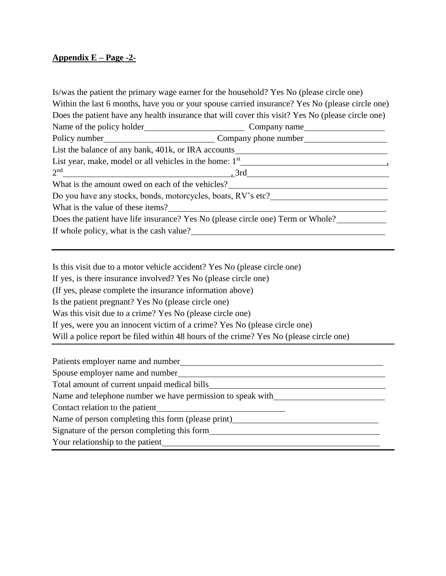#### **Appendix E – Page -2-**

Is/was the patient the primary wage earner for the household? Yes No (please circle one) Within the last 6 months, have you or your spouse carried insurance? Yes No (please circle one) Does the patient have any health insurance that will cover this visit? Yes No (please circle one) Name of the policy holder Company name Policy number **Company phone number** List the balance of any bank, 401k, or IRA accounts . List year, make, model or all vehicles in the home: 1st , 2 nd  $, 3rd$ What is the amount owed on each of the vehicles? Do you have any stocks, bonds, motorcycles, boats, RV's etc? What is the value of these items? Does the patient have life insurance? Yes No (please circle one) Term or Whole? If whole policy, what is the cash value?<br>
<u>16.</u>

Is this visit due to a motor vehicle accident? Yes No (please circle one)

If yes, is there insurance involved? Yes No (please circle one)

(If yes, please complete the insurance information above)

Is the patient pregnant? Yes No (please circle one)

Was this visit due to a crime? Yes No (please circle one)

If yes, were you an innocent victim of a crime? Yes No (please circle one)

Will a police report be filed within 48 hours of the crime? Yes No (please circle one)

Patients employer name and number ...

Spouse employer name and number ...

Total amount of current unpaid medical bills .

Name and telephone number we have permission to speak with .

Contact relation to the patient .

Name of person completing this form (please print)

Signature of the person completing this form *completion*  $\frac{1}{2}$  **s**  $\frac{1}{2}$  **form** *completing this form completing this form completing this form* **<b>***completing this form completing this form compl* 

Your relationship to the patient ...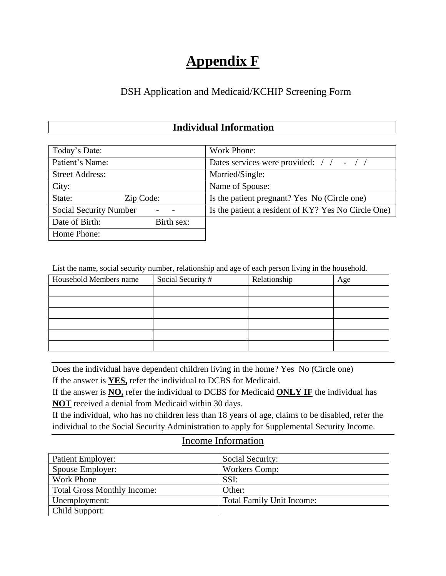## **Appendix F**

### DSH Application and Medicaid/KCHIP Screening Form

### **Individual Information**

| Today's Date:                 | Work Phone:                                         |
|-------------------------------|-----------------------------------------------------|
| Patient's Name:               | Dates services were provided: / / - / /             |
| <b>Street Address:</b>        | Married/Single:                                     |
| City:                         | Name of Spouse:                                     |
| State:<br>Zip Code:           | Is the patient pregnant? Yes No (Circle one)        |
| <b>Social Security Number</b> | Is the patient a resident of KY? Yes No Circle One) |
| Date of Birth:<br>Birth sex:  |                                                     |
| Home Phone:                   |                                                     |

List the name, social security number, relationship and age of each person living in the household.

| Household Members name | Social Security # | Relationship | Age |
|------------------------|-------------------|--------------|-----|
|                        |                   |              |     |
|                        |                   |              |     |
|                        |                   |              |     |
|                        |                   |              |     |
|                        |                   |              |     |
|                        |                   |              |     |

Does the individual have dependent children living in the home? Yes No (Circle one)

If the answer is **YES,** refer the individual to DCBS for Medicaid.

If the answer is **NO,** refer the individual to DCBS for Medicaid **ONLY IF** the individual has **NOT** received a denial from Medicaid within 30 days.

If the individual, who has no children less than 18 years of age, claims to be disabled, refer the individual to the Social Security Administration to apply for Supplemental Security Income.

#### Income Information

| Patient Employer:                  | Social Security:                 |
|------------------------------------|----------------------------------|
| Spouse Employer:                   | Workers Comp:                    |
| <b>Work Phone</b>                  | SSI:                             |
| <b>Total Gross Monthly Income:</b> | Other:                           |
| Unemployment:                      | <b>Total Family Unit Income:</b> |
| Child Support:                     |                                  |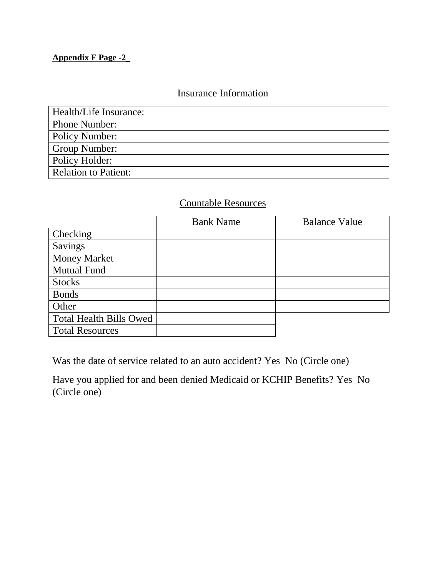#### **Appendix F Page -2\_**

## Insurance Information

| Health/Life Insurance:      |
|-----------------------------|
| Phone Number:               |
| <b>Policy Number:</b>       |
| Group Number:               |
| Policy Holder:              |
| <b>Relation to Patient:</b> |

### Countable Resources

|                                | <b>Bank Name</b> | <b>Balance Value</b> |
|--------------------------------|------------------|----------------------|
| Checking                       |                  |                      |
| Savings                        |                  |                      |
| <b>Money Market</b>            |                  |                      |
| <b>Mutual Fund</b>             |                  |                      |
| <b>Stocks</b>                  |                  |                      |
| <b>Bonds</b>                   |                  |                      |
| Other                          |                  |                      |
| <b>Total Health Bills Owed</b> |                  |                      |
| <b>Total Resources</b>         |                  |                      |

Was the date of service related to an auto accident? Yes No (Circle one)

Have you applied for and been denied Medicaid or KCHIP Benefits? Yes No (Circle one)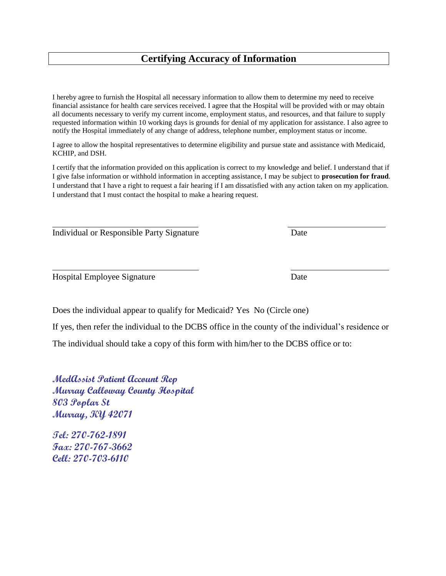#### **Certifying Accuracy of Information**

I hereby agree to furnish the Hospital all necessary information to allow them to determine my need to receive financial assistance for health care services received. I agree that the Hospital will be provided with or may obtain all documents necessary to verify my current income, employment status, and resources, and that failure to supply requested information within 10 working days is grounds for denial of my application for assistance. I also agree to notify the Hospital immediately of any change of address, telephone number, employment status or income.

I agree to allow the hospital representatives to determine eligibility and pursue state and assistance with Medicaid, KCHIP, and DSH.

I certify that the information provided on this application is correct to my knowledge and belief. I understand that if I give false information or withhold information in accepting assistance, I may be subject to **prosecution for fraud**. I understand that I have a right to request a fair hearing if I am dissatisfied with any action taken on my application. I understand that I must contact the hospital to make a hearing request.

.

. .

Individual or Responsible Party Signature Date

Hospital Employee Signature Date

Does the individual appear to qualify for Medicaid? Yes No (Circle one)

If yes, then refer the individual to the DCBS office in the county of the individual's residence or

The individual should take a copy of this form with him/her to the DCBS office or to:

**MedAssist Patient Account Rep Murray Calloway County Hospital 803 Poplar St Murray, KY 42071**

**Tel: 270-762-1891 Fax: 270-767-3662 Cell: 270-703-6110**